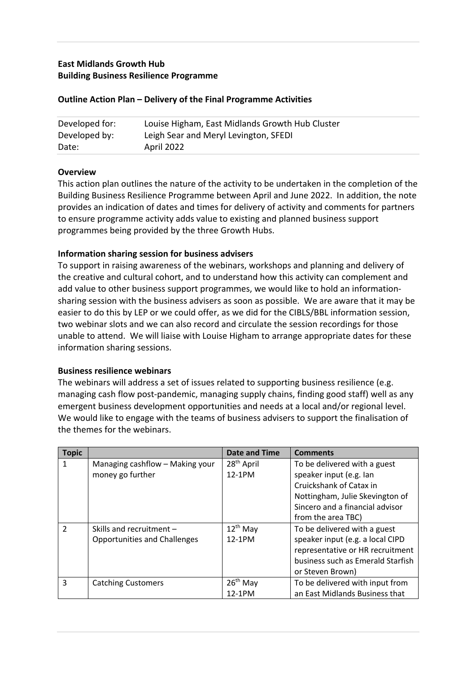# **East Midlands Growth Hub Building Business Resilience Programme**

| Developed for: | Louise Higham, East Midlands Growth Hub Cluster |
|----------------|-------------------------------------------------|
| Developed by:  | Leigh Sear and Meryl Levington, SFEDI           |
| Date:          | April 2022                                      |

#### **Outline Action Plan – Delivery of the Final Programme Activities**

#### **Overview**

This action plan outlines the nature of the activity to be undertaken in the completion of the Building Business Resilience Programme between April and June 2022. In addition, the note provides an indication of dates and times for delivery of activity and comments for partners to ensure programme activity adds value to existing and planned business support programmes being provided by the three Growth Hubs.

### **Information sharing session for business advisers**

To support in raising awareness of the webinars, workshops and planning and delivery of the creative and cultural cohort, and to understand how this activity can complement and add value to other business support programmes, we would like to hold an informationsharing session with the business advisers as soon as possible. We are aware that it may be easier to do this by LEP or we could offer, as we did for the CIBLS/BBL information session, two webinar slots and we can also record and circulate the session recordings for those unable to attend. We will liaise with Louise Higham to arrange appropriate dates for these information sharing sessions.

#### **Business resilience webinars**

The webinars will address a set of issues related to supporting business resilience (e.g. managing cash flow post-pandemic, managing supply chains, finding good staff) well as any emergent business development opportunities and needs at a local and/or regional level. We would like to engage with the teams of business advisers to support the finalisation of the themes for the webinars.

| <b>Topic</b>   |                                     | Date and Time          | <b>Comments</b>                   |
|----------------|-------------------------------------|------------------------|-----------------------------------|
|                | Managing cashflow - Making your     | 28 <sup>th</sup> April | To be delivered with a guest      |
|                | money go further                    | 12-1PM                 | speaker input (e.g. lan           |
|                |                                     |                        | Cruickshank of Catax in           |
|                |                                     |                        | Nottingham, Julie Skevington of   |
|                |                                     |                        | Sincero and a financial advisor   |
|                |                                     |                        | from the area TBC)                |
| $\mathfrak{p}$ | Skills and recruitment -            | $12^{th}$ May          | To be delivered with a guest      |
|                | <b>Opportunities and Challenges</b> | 12-1PM                 | speaker input (e.g. a local CIPD  |
|                |                                     |                        | representative or HR recruitment  |
|                |                                     |                        | business such as Emerald Starfish |
|                |                                     |                        | or Steven Brown)                  |
| 3              | <b>Catching Customers</b>           | $26th$ May             | To be delivered with input from   |
|                |                                     | 12-1PM                 | an East Midlands Business that    |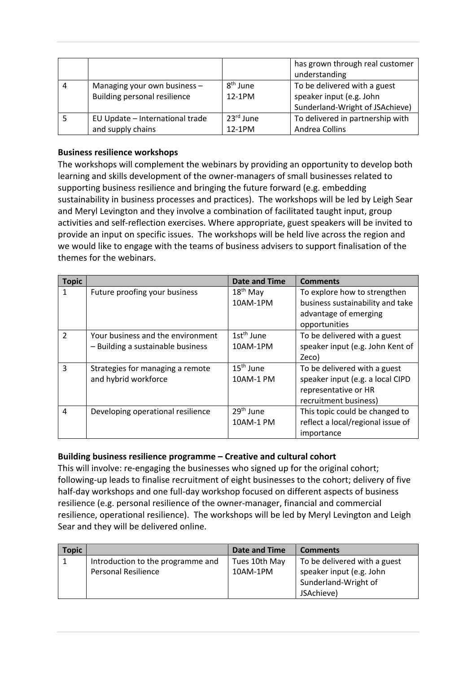|   |                                                                       |                      | has grown through real customer<br>understanding                                            |
|---|-----------------------------------------------------------------------|----------------------|---------------------------------------------------------------------------------------------|
| 4 | Managing your own business $-$<br><b>Building personal resilience</b> | $8th$ June<br>12-1PM | To be delivered with a guest<br>speaker input (e.g. John<br>Sunderland-Wright of JSAchieve) |
|   | EU Update - International trade<br>and supply chains                  | 23rd June<br>12-1PM  | To delivered in partnership with<br>Andrea Collins                                          |

## **Business resilience workshops**

The workshops will complement the webinars by providing an opportunity to develop both learning and skills development of the owner-managers of small businesses related to supporting business resilience and bringing the future forward (e.g. embedding sustainability in business processes and practices). The workshops will be led by Leigh Sear and Meryl Levington and they involve a combination of facilitated taught input, group activities and self-reflection exercises. Where appropriate, guest speakers will be invited to provide an input on specific issues. The workshops will be held live across the region and we would like to engage with the teams of business advisers to support finalisation of the themes for the webinars.

| <b>Topic</b>   |                                   | Date and Time          | <b>Comments</b>                   |
|----------------|-----------------------------------|------------------------|-----------------------------------|
| 1              | Future proofing your business     | $18th$ May             | To explore how to strengthen      |
|                |                                   | 10AM-1PM               | business sustainability and take  |
|                |                                   |                        | advantage of emerging             |
|                |                                   |                        | opportunities                     |
| $\overline{2}$ | Your business and the environment | 1st <sup>th</sup> June | To be delivered with a guest      |
|                | - Building a sustainable business | 10AM-1PM               | speaker input (e.g. John Kent of  |
|                |                                   |                        | Zeco)                             |
| 3              | Strategies for managing a remote  | $15th$ June            | To be delivered with a guest      |
|                | and hybrid workforce              | 10AM-1 PM              | speaker input (e.g. a local CIPD  |
|                |                                   |                        | representative or HR              |
|                |                                   |                        | recruitment business)             |
| 4              | Developing operational resilience | $29th$ June            | This topic could be changed to    |
|                |                                   | 10AM-1 PM              | reflect a local/regional issue of |
|                |                                   |                        | importance                        |

## **Building business resilience programme – Creative and cultural cohort**

This will involve: re-engaging the businesses who signed up for the original cohort; following-up leads to finalise recruitment of eight businesses to the cohort; delivery of five half-day workshops and one full-day workshop focused on different aspects of business resilience (e.g. personal resilience of the owner-manager, financial and commercial resilience, operational resilience). The workshops will be led by Meryl Levington and Leigh Sear and they will be delivered online.

| <b>Topic</b> |                                                                 | Date and Time             | <b>Comments</b>                                          |
|--------------|-----------------------------------------------------------------|---------------------------|----------------------------------------------------------|
|              | Introduction to the programme and<br><b>Personal Resilience</b> | Tues 10th May<br>10AM-1PM | To be delivered with a guest<br>speaker input (e.g. John |
|              |                                                                 |                           | Sunderland-Wright of                                     |
|              |                                                                 |                           | JSAchieve)                                               |